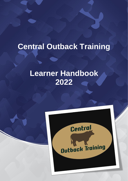# **Central Outback Training**

# **Learner Handbook 2022**

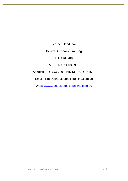Learner Handbook

## **Central Outback Training**

## **RTO #31788**

A.B.N. 69 914 083 990

Address: PO BOX 7095, KIN KORA QLD 4680

Email : kim@centraloutbacktraining.com.au

Web: www..centraloutbacktraining.com.au

COT Learner Handbook ver. 25.5.2022 pg. - 2 -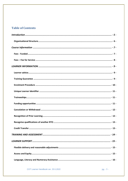# **Table of Contents**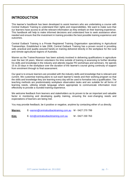## <span id="page-4-0"></span>**INTRODUCTION**

This learner's handbook has been developed to assist learners who are undertaking a course with Central Outback Training to understand their rights and responsibilities. We want to make sure that our learners have access to all the relevant information as they embark on their learning experience. This handbook will help to make informed decisions and understand how to seek assistance when needed and ensure that the investment in training provides the best possible training experience and outcomes.

Central Outback Training is a Private Registered Training Organisation specialising in Agricultural Traineeships. Established in late 2008, Central Outback Training has a proven record in providing safe, practical and quality assured hands-on training delivered directly in the workplace for the rural and remote agricultural regions of Australia.

Warren as the Trainer/Assessor has been actively involved in delivering qualifications in agriculture over the last 18 years. Warren volunteers his time outside of training & assessing to further develop his skills and knowledge in the industry and attends regular PD workshops and seminars. He spends 15 to 20 days in the workplace over the duration of the learner's course giving continuity of support from enrolment through to final assessment.

Our goal is to ensure learners are provided with the industry skills and knowledge that is relevant and current. We customise training plans to suit each learner's needs and their working program so that the skills and knowledge they are learning every day will be used to formalise into a qualification. The teaching methods are predominately workplace observation tasks and are suitable for all forms of learning needs, utilising simple language where appropriate to communicate information most effectively to provide a rounded training experience.

We welcome feedback from learners and stakeholders as its proven to be an important and valuable factor in monitoring and developing quality training, ensuring the ever-changing needs and expectations of learners are being met.

You may provide feedback, be it positive or negative, anytime by contacting either of us directly.

**Warren:** E- [warren@centraloutbacktraining.com.au](mailto:warren@centraloutbacktraining.com.au) M - 0427 270 799

**Kim:** E- [kim@centraloutbacktraining.com.au](mailto:kim@centraloutbacktraining.com.au) M - 0427 230 763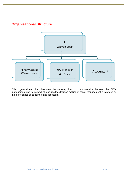<span id="page-5-0"></span>

This organisational chart illustrates the two-way lines of communication between the CEO, management and trainers which ensures the decision making of senior management is informed by the experiences of its trainers and assessors.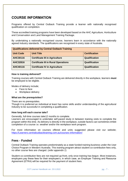# <span id="page-6-0"></span>**COURSE INFORMATION**

Programs offered by Central Outback Training provide a learner with nationally recognised qualification on completion.

These accredited training programs have been developed based on the AHC Agriculture, Horticulture and Conservation and Land Management Training Package.

By undertaking a nationally recognised course, learners learn in accordance with the nationally agreed industry standards. The qualifications are recognised in every state of Australia.

| <b>Qualifications delivered by Central Outback Training</b> |                                            |                      |  |
|-------------------------------------------------------------|--------------------------------------------|----------------------|--|
| <b>Unit Code</b>                                            | <b>Unit Title</b>                          | <b>Certification</b> |  |
| <b>AHC30116</b>                                             | <b>Certificate III in Agriculture</b>      | Qualification        |  |
| <b>AHC32816</b>                                             | <b>Certificate III in Rural Operations</b> | Qualification        |  |
| <b>AHC40116</b>                                             | <b>Certificate IV in Agriculture</b>       | Qualification        |  |

#### **How is training delivered?**

Training courses with Central Outback Training are delivered directly in the workplace, learners **must**  be employed to be eligible.

Modes of delivery include;

- Face to face
- Workplace delivery

#### **What are the prerequisites?**

There are no prerequisites.

Though it is preferred an individual at least has some skills and/or understanding of the agricultural Industry to be successful in completing a qualification.

#### **How long will each course take?**

Generally, full-time courses take12 months to complete.

Learners are encouraged to undertake self-paced study in between training visits to complete the program within this time. As delivery is directly in the workplace, outside factors can sometimes inhibit completion of a course i.e. weather and/or the workplace work program.

For more information on courses offered and units suggested please visit our website; [https://Learners.centraloutbacktraining.com.au/courses-information/](https://www.centraloutbacktraining.com.au/courses-information/) 

### <span id="page-6-1"></span>**Fees - Funded**

Central Outback Training operates predominately as a state funded training business under the User Choice Program in Western Australia. This training program attract student co-contribution fees only, no other course fees are charged. (*refer appendix 1*)

Student co-contribution fees are not required up-front, only once training has begun. Most instances, employers pay these fees for their employee's, in which case, an Employer Training and Resource Agreement (ETRA) will be required for the payment of student fees.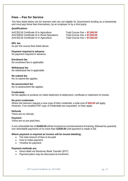### <span id="page-7-0"></span>**Fees – Fee for Service**

The fees listed below are for learners who are not eligible for Government funding as a traineeship and must pay these fees themselves, by an employer or by a third party.

#### *Qualifications*

AHC30116 Certificate III in Agriculture Total Course Fee = *\$7,500.00* AHC32816 Certificate III in Rural Operations Total Course Fee **=** *\$7,500.00* AHC40116 Certificate IV in Agriculture Total Course Fee = *\$7,500.00*

**RPL fee**

As per the course fees listed above.

#### **Payment required in advance**

No payment required in advance.

#### **Enrolment fee**

No enrolment fee is applicable.

#### **Withdrawal fee**

No withdrawal fee is applicable.

**Re-submit fee** No re-submit fee applies.

#### **Re-assessment fee**

No re-assessment fee applies.

#### **Credentials**

No fee applies to produce an initial statement of attainment, certificate or statement of results.

#### **Re-print credentials**

Where the learners request a new copy of their credential, a total cost of **\$30.00** will apply. However, if an emailed PDF copy of credentials are requested, no fees apply.

#### **Refunds**

There are no refunds.

#### **Payment**

There are no pre-paid fees.

A *non-refundable* fee of *\$1000.00* will be invoiced on commencement of training, followed by quarterly *non-refundable* payments of no more than *\$1500.00* until payment is made in full.

#### **Where payment is required an invoice will be issued detailing;**

- The total amount of fees to be paid
- How to make payment
- Timeline for payment

#### **Payment methods are**;

- Direct debit via Electronic Bank Transfer (EFT)
- Payment plans may be discussed at enrolment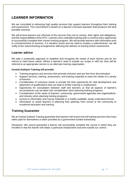# <span id="page-8-0"></span>**LEARNER INFORMATION**

We are committed to delivering high quality services that support learners throughout their training and assessment. This commitment is based on a learner's focused operation that produces the best possible outcome.

We will ensure learners are informed of the services they are to receive, their rights and obligations, and the responsibilities of the RTO. Learners who undertake training with us receive every opportunity to successfully complete their chosen training program. We will provide learners with information prior to commencement of services. If a situation arises and we need to employ a subcontractor, we will notify of the subcontracting arrangements affecting the delivery of training and/or assessment.

## <span id="page-8-1"></span>**Learner advice**

We take a systematic approach to establish and recognise the needs of each learner and do our utmost to meet these needs. Where a learner's need is outside our scope or skill set, they will be referred to an appropriate service or an alternate training organisation.

#### **Central Outback Training will provide:**

- Training programs and services that promote inclusion and are free from discrimination
- Support services, training, assessment, and training materials to meet the needs of a variety of learners
- Consideration of everyone needs to provide the best opportunity for skill development and attainment of qualifications that can lead to further training or employment
- Opportunity for consultation between staff and learners so that all aspects of learner's circumstances can be taken into consideration when planning training programs
- Consideration of the views of learners' community, government agencies and organisations, and industry when planning training programs
- Access to information and course materials in a readily available, easily understood format
- Information to assist learners in planning their pathway from school or the community to vocational education and training

## <span id="page-8-2"></span>**Training Guarantee**

We at Central Outback Training guarantee that learners will receive the full training services they have either paid for themselves or been provided as a government funded traineeship.

*Disclaimer*: We cannot guarantee a learner will successfully complete the course in which they are enrolled or that the learner will obtain a particular employment outcome outside our control.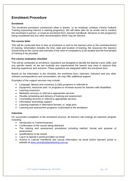# <span id="page-9-0"></span>**Enrolment Procedure**

#### **Enrolment**

The enrolment procedure commences when a learner, or an employer contacts Central Outback Training expressing interest in training program(s). We will either plan for an onsite visit to conduct the enrolment in person, or email an enrolment form, learners handbook, literature on the program(s) being considered and any other documentation which may be relevant.

#### **Pre-course letter**

This will be conducted face to face at enrolment or sent to the learners prior to the commencement of training. Information includes the time, date and location of training, the resources the learners should bring to the course and overview of the units of competency to be studied and the format/style of training to be provided.

#### **Pre-course evaluation checklist**

This will be conducted on enrolment. Questions are designed to identify the learner's prior skills, and any specific needs, so we can evaluate any requirements the learner may have to improve their learning experience and outcome. These questions are integrated within the enrolment form.

Based on the information in the checklist, the enrolment form, interview, induction and any other relevant correspondence and conversation, we may offer additional support.

Examples of the support services may include:

- Language, literacy and numeracy (LL&N) programs or referrals to
- Equipment, resources and / or programs to increase access for learners with disabilities
- Learning resources
- Mediation services or referral to appropriate services
- Flexible scheduling and delivery of training and assessment
- Counselling services or referral to appropriate services
- Information technology support
- Learning materials in alternative formats i.e. large print
- Learning and assessment programs customised to the workplace

#### **Induction**

On successful completion of the enrolment process, all learners will undergo an induction program including:

- Introduction to Trainer/Assessor
- Confirmation of the course being delivered
- The training and assessment procedures including method, format and purpose of assessment
- Qualifications to be issued
- Log-in to learner's portal provided via email
- Access to Learner Handbook and course information via email and/or learners' portal or website at [www.centraloutbacktraining.com.au](http://www.centraloutbacktraining.com.au/)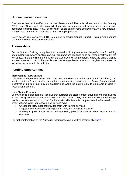## <span id="page-10-0"></span>**Unique Learner Identifier**

The Unique Learner Identifier is a National Government initiative for all learners from 1st January 2015. Your USI account will contain all of your nationally recognised training records and results completed from this date. This will assist when you are commencing employment with a new employer or if you are commencing study with a new training organisation.

Every learner from January 1, 2015, is required to provide Central Outback Training with a verified USI before we can issue any certification.

## <span id="page-10-1"></span>**Traineeships**

Central Outback Training recognises that traineeships in Agriculture are the perfect tool for training and developing new and existing staff. Our programs are designed to be delivered directly within the workplace. All the training is done within the workplace working program, where the skills a trainee acquires are customised to the specific needs of an organisation which in turns gives the trainee the skills that are current to the industry.

## <span id="page-10-2"></span>**Funding opportunities**

#### **Traineeships - New entrant**

This scheme targets employees who have been employed for less than 3 months full-time (or 12 months part-time) and is also dependent upon existing qualifications. Again, Commonwealth incentives of up to \$4000 may be available and would be paid directly to employers if eligibility requirements are met.

#### **User Choice Program**

User Choice is a national policy initiative that facilitates the disbursement of funding and incentives to RTO's. Designed to make Vocational Education & Training (VET) more responsive to the strategic needs of Australian industry. User Choice works with Australian Apprenticeships/Traineeships in order that employers, apprentices, and trainees may:

- Choose the RTO that best provides them with training services
- Negotiate key aspects of training (where, how, and when it is provided)
- Funding is paid directly to the relevant RTO, potentially reducing direct outlays by the employer.

For further information on the Australian Apprenticeships Incentive program click [here](https://www.australianapprenticeships.gov.au/sites/default/files/2020-03/FINAL%20Australian%20Apprenticeships%20Incentives%20Program%20Guidelines%20-%20effective%202%20April%202020.pdf)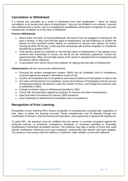## <span id="page-11-0"></span>**Cancelation or Withdrawal**

If a learner has cancelled as a result of withdrawal from their qualification – either by mutual cancellation or by leaving their place of employment - they are not entitled to any refunds. Learners who withdraw from a course, prior to completing the qualification will be given recognition for any units satisfactorily completed up to the date of withdrawal.

#### **Process Withdrawals**

- Where there has been no formal withdrawal, the learner has not engaged in learning for the past 4 months, or they have left their place of employment, we will endeavour to contact the learner by their provided contact details on enrolment to discuss their options for further training by either off the job, continuing their traineeship with another employer or if preferred transferring to another SRTO.
- If the learner cannot be contacted or has left their place of employment or has agreed not to continue their traineeship or course, we will fill out the necessary paperwork, contact the Apprenticeships Office and formally advise of the learner's abandonment of employment and the learner will be withdrawn.
- A cancelation form will be sent to the employer for signing and last date of employment.

**Administration** will then process the withdrawal by:

- Ensuring the student management system, (SMS) has all completed units of competency recorded against the learner's attendance record on file
- Confirm all completed units of competency and ensure Evidence of Participation is held on file
- For units commenced but not completed, review the Evidence of Participation and the amount of training provided to the learners, input the number of hours, and change the outcome code to withdrawn in SMS
- Change enrolment status to Withdrawn/Cancelled in SMS
- Check with documentation signed by employer for learners last date of employment.
- Input final date of enrolment for learners SMS enrolment
- Issue Statement of Attainment for completed units of competency

## <span id="page-11-1"></span>**Recognition of Prior Learning**

Recognition of prior learning (RPL) means recognition of competencies currently held, regardless of how, when or where the learning occurred. These competencies may be attained through any combination of formal or informal training and education, work experience or general life experience.

To grant RPL, the assessor must be confident that the learner is currently competent against the endorsed industry or enterprise competency standards or outcomes specified in Australian Qualifications Framework accredited courses. The evidence may take a variety of forms and could include certification, references from past employers, testimonials from learner and work samples. The assessor must ensure that the evidence is authentic, valid, reliable, current and sufficient.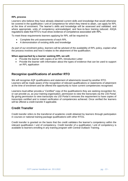#### **RPL process**

Learners who believe they have already obtained current skills and knowledge that would otherwise be covered in the qualification / unit of competence for which they intend to attain, can apply for RPL at the time of enrolment. The learner's skills and knowledge will be assessed and validated, and where appropriate, units of competency acknowledged, and face-to-face training reduced. ASQA regulations state that RTO's must show evidence of competence associated with RPL.

To meet these requirements learners applying for RPL will be required to:

- Complete the unit assessments of each RPL
- A demonstration of existing skills and knowledge

As part of our enrolment policy, learners will be advised of the availability of RPL policy, explain what the process involves and how it relates to the attainment of the qualification.

#### **When approached by a learner seeking RPL we will:**

- Provide the learner with copies of an RPL Introduction Letter
- Provide the learner with information about the types of evidence that can be used to support an RPL application

## <span id="page-12-0"></span>**Recognise qualifications of another RTO**

We will recognise AQF qualifications and statement of attainments issued by another RTO. Learners will be made aware of the recognition of relevant qualifications or statements of attainment at the time of enrolment and be offered the opportunity to have current competencies recognised.

Learners must either provide a "*Certified*" copy of the qualification/s they are seeking recognition for, or can provide us, as your training organisation, permission to view the transcripts via the *USI Portal*. By giving permission to view transcripts via *USI Portal* it removes the requirement to have copies of transcripts certified and is instant verification of competencies achieved. Once verified the learners will be offered a credit transfer if applicable.

## <span id="page-12-1"></span>**Credit Transfer**

Credit transfer refers to the transferral of academic credit obtained by learners through participation in courses or national training package qualifications with other RTOs.

Credit transfer is granted on the basis that the credit validates the learner's competency within the relevant qualification / unit of competency. Credit transfer of a qualification / unit of competency is available to learners enrolling in any training program with Central Outback Training.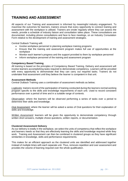## <span id="page-13-0"></span>**TRAINING AND ASSESSMENT**

All aspects of our Training and assessment is informed by meaningful industry engagement. To maximise the outcomes for learners, trainers ensure that every opportunity to connect training and assessment with the workplace is utilised. Trainers are onsite regularly where they can assess the needs, provide a schedule of industry liaison and consultation takes place. These consultations are documented, including phone consultations and face to face meetings, on an Industry Consulation Form relative to the development of training and assessment strategies.

Central Outback Training will**:**

- Involve workplace personnel in planning workplace training programs
- Ensure that the training and assessment program makes full use of opportunities at the workplace
- Monitor each learner's progress and the support provided to them by workplace personnel
- Inform workplace personnel of the training and assessment program

#### **Competency Based Training**

All training is based on the principles of Competency Based Training. Delivery and assessment will involve learners accomplishing tasks required to demonstrate competency. Learners will be provided with every opportunity to demonstrate that they can carry out required tasks. Trainers do not undertake final assessment until they believe the learner is competent in that unit.

#### **Assessment Methods**

Central Outback Training uses a combination of assessment methods as below;

*Logbooks:* trainers record of the participation of training conducted during the learners normal working program specific to the skills and knowledge requirements of each unit. Used to record consistent performance over a period of time and in a suitable range of contexts.

*Observation:* where the learners will be observed performing a series of tasks over a period to determine their skills and knowledge.

*Oral Assessment:* where the learner will be asked a series of Oral questions for their explanation of skills and knowledge.

*Written Assessment:* learners will be given the opportunity to demonstrate competency through written short answers, multiple choice questions, written reports, or documentation.

#### **Clustered Assessment Delivery**

As our delivery is totally in the workplace, we select the units of competency that reflect the workplace and learners needs so that they are effectively learning the skills and knowledge required while they work. Training and Assessment can then be combined in clustered groups as they have significant similarities in knowledge, skills and performance requirements.

This makes for an efficient approach as the clustered units are identified and addressed together instead of multiple times with each separate unit. Thus, removes repetition and over assessment and provides the volume of learning required over the whole qualification.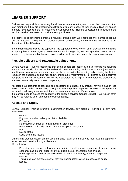# <span id="page-14-0"></span>**LEARNER SUPPORT**

Trainers are responsible for ensuring that all learners are aware they can contact their trainer or other staff members if they are experiencing difficulties with any aspect of their studies. Staff will ensure learners have access to the full resources of Central Outback Training to assist them in achieving the required level of competency in their chosen qualification.

If a learner is experiencing personal difficulties, training staff will encourage the learner to contact Central Outback Training who will provide discreet, personalised, and confidential assistance as per the nature of the difficulties.

If a learner's needs exceed the capacity of the support services we can offer, they will be referred to an appropriate external agency. Extensive information regarding support agencies, resources and services may be sourced online and trainers will assist learners to source the appropriate support.

## <span id="page-14-1"></span>**Flexible delivery and reasonable adjustments**

Central Outback Training recognises that some people are better suited to learning via teaching methods not usually obtained in the traditional classroom setting. With some minor adjustments to teaching and assessment methods, a learner who is having trouble learning and achieving the desired results in the traditional setting may show considerable improvements. For example, the inability to complete a written assessment will not be interpreted as a sign of incompetence, provided the learners can verbally demonstrate competency.

Acceptable adjustments to teaching and assessment methods may include having a trainer read assessment materials to learners, having a learner's spoken responses to assessment questions recorded or allowing a learner to sit for an assessment alone in a different room.

If a learner's needs exceed the capacity of the support services Central Outback Training can offer, they will be referred to an appropriate external agency.

## <span id="page-14-2"></span>**Access and Equity**

Central Outback Training prohibits discrimination towards any group or individual in any form, inclusive of

- Gender
- Physical or intellectual or psychiatric disability
- Pregnancy
- Homosexuality (male or female, actual or presumed)
- Race, colour, nationality, ethnic or ethno-religious background
- Age
- **Marital status**
- Socio-economic factors

Our training program design are set up to enhance flexibility of delivery to maximize the opportunity for access and participation by all learners.

We do this by:

- Promoting access to employment and training for all people regardless of gender, socioeconomic background, disability, ethnic origin, sexual orientation, age or race.
- Ensuring training services are delivered in a non-discriminatory, open and respectful manner.
- Training all staff members so that they are appropriately skilled in access and equity issues.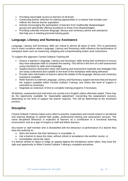- Providing reasonable access to learners of all levels.
- Conducting learner selection for training opportunities in a manner that includes and reflects the diverse learner population.
- Actively encouraging the participation of learners from traditionally disadvantaged groups and specifically offering assistance to those most disadvantaged.
- Providing culturally inclusive language, literacy and numeracy advice and assistance that help you in meeting personal training goals.

## <span id="page-15-0"></span>**Language, Literacy and Numeracy Assistance**

Language, Literacy and Numeracy skills are critical to almost all areas of work. This is particularly true in many vocations where Language, Literacy and Numeracy skills influence the performance of workplace tasks such as measuring, weighing and comprehending written work instructions

To support this approach Central Outback Training will:

- Assess a learner's Language, Literacy and Numeracy skills during their enrolment to ensure they have adequate skills to complete the training. This will be in the form of a self-assessment using checklists for skills and knowledge.
- Support learners during their study with training and assessment materials and strategies that are easily understood and suitable to the level of the workplace skills being delivered
- Provide clear information to learners about the details of the language, literacy and numeracy assistance available
- Refer learners to external Language, Literacy and Numeracy support services that are beyond the support available within Central Outback Training, and where this level of support is assessed as necessary
- Negotiate an extension of time to complete training programs if necessary.

All delivery, assessment and instruction are carried out in English unless otherwise stated. There may be the opportunity available for 'reasonable adjustment' concerning the assessment process, depending on the level of support the learner required. This will be determined at the enrolment process.

## <span id="page-15-1"></span>**Discipline**

Central Outback Training makes every effort to practice cooperation and mutual respect in all internal and external dealings to uphold high quality, professional training and assessment services. The same disciplined behaviour is expected of learners as a contribution to a functional learning environment, and as a sign of respect to staff and fellow learners.

Any trainer or staff member who is dissatisfied with the behaviour or performance of a learner they have the authority to:

- Warn the learner that their behaviour is unsuitable, or
- Ask a learner to leave the class, without refund or acceptance into another course, or
- Immediately cancel the class.

If a learner wishes to object or lodge an appeal against the disciplinary action taken, they have the right and opportunity to follow Central Outback Training's complaint procedure.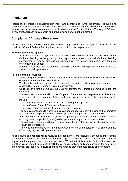## <span id="page-16-0"></span>**Plagiarism**

Plagiarism is considered academic dishonesty and a breach of [journalistic ethics.](http://en.wikipedia.org/wiki/Journalistic_ethics) It is subject to serious sanctions such as [expulsion.](http://en.wikipedia.org/wiki/Expulsion_%28academia%29) It is quite reasonable to research material during undertaking assessment. All sources, however, must be clearly referenced. Central Outback Training's CEO takes a very strict approach to plagiarism and proven incidents will not be tolerated.

## <span id="page-16-1"></span>**Complaints / Appeals Procedure**

All persons wishing to make a complaint, appeal or any other manner of objection in relation to the conduct of Central Outback Training have access to the following procedure:

#### **Informal complaint / appeal:**

- An initial complaint or appeal will involve the persons communicating directly with Central Outback Training verbally or by other appropriate means. Central Outback Training management will decide, discuss their judgement with the persons and record the outcome of the complaint or appeal
- Persons dissatisfied with the outcome of Central Outback Training's decision may initiate the formal complaint procedure

#### **Formal complaint / appeal:**

- It is normal procedure that all formal complaints proceed only after the initial informal complaint or appeal procedure has been finalised
- The formal complaint or appeal is to be submitted in writing, and the procedure and outcome recorded by Central Outback Training management
- On receipt of a formal complaint, the CEO will convene the complaint committee to hear the complaint
- The complaint committee will consist of a panel of members with no previous involvement or vested interest in the outcome of the complaint or appeal. Members of the committee should include:
	- o A representative of Central Outback Training management
	- o A Central Outback Training staff member
	- o A person independent of Central Outback Training
- The complainant / appellant shall be given an opportunity to present the case to the committee and may be accompanied by one (1) other person as support or as representation
- Staff member(s) involved shall be given an opportunity to present their case to the committee and may be accompanied by one (1) other person as support or as representation
- The complaint committee will reach a decision on the complaint or appeal after consideration of each case presented
- The complaint committee will inform all parties involved of the outcome in writing within five (5) working days of making the decision

All complaints and appeals will be reviewed as soon as they are received. Continuous improvement procedures may be actioned when the complaint / appeal procedure results in identification of factors appropriate for improvement to internal operations. When the initial causative factor of the complaint identifies a problem with current Central Outback Training policies and / or procedures, the continuous improvement procedure will ensure changes are made to prevent reoccurrence of the problem.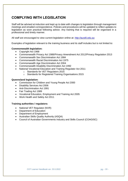# <span id="page-17-0"></span>**COMPLYING WITH LEGISLATION**

Staff will be advised at induction and kept up to date with changes to legislation through management meetings and emailed correspondence. Policies and procedures will be updated to reflect updates to legislation as soon practical following advice. Any training that is required will be organised in a professional and timely manner.

All staff are encouraged to view current legislation online at: *[http://austlii.edu.au](http://austlii.edu.au/)*

Examples of legislation relevant to the training business and its staff includes but is not limited to:

#### **Commonwealth legislation:**

- Copyright Act 1968
- Commonwealth Privacy Act 1988/Privacy Amendment Act 2012/Privacy Regulation 2013
- Commonwealth Sex Discrimination Act 1984
- Commonwealth Racial Discrimination Act 1975
- Commonwealth Age Discrimination Act 2004
- Commonwealth Disability Discrimination Act 1992
- National Vocational Education and Training Regulator Act 2011
	- o Standards for VET Regulators 2015
	- o Standards for Registered Training Organisations 2015

#### **Queensland legislation:**

- Commission for Children and Young People Act 2000
- Disability Services Act 2006
- Anti-Discrimination Act 1991
- Fair Trading Act 1989
- Vocational Education, Employment and Training Act 2005
- Work Health and Safety Act 2011

#### **Training authorities / regulators:**

- National VET Regulator (NVR)
- Department of Education
- Department of Employment
- Australian Skills Quality Authority (ASQA)
- Council of Australian Governments Industry and Skills Council (COAGISC)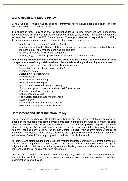## <span id="page-18-0"></span>**Work, Health and Safety Policy**

Central Outback Training has an ongoing commitment to workplace health and safety on each workplace site used for training delivery.

It is obligation under legislation that all Central Outback Training employees and management contribute to and assist in maintaining workplace health and safety and risk management operations as part of their role within the RTO. Central Outback Training management is responsible for providing the following standards as part of its commitment to employees and learners:

- A safe workplace, with a safe system of work
- Adequate workplace health and safety professional development for Central Outback Training learners, employees, management, and stakeholders
- Properly maintained facilities and equipment
- A clean, tidy, suitably designed workplace with the safe storage of goods.

#### **The following procedures and standards are confirmed by Central Outback Training at each workplace where training is delivered to achieve a safe working and learning environment:**

- Maintain a safe, clean and efficient working environment
- Evacuation plan (fire, bomb, major incident)
- Emergency control
- Accident / Incident reporting
- **Rehabilitation**
- Risk identification reporting
- PPE / chemicals (storage)
- Manual handling techniques and training
- Store and dispose of waste according to WHS regulations
- Equipment checks and maintenance
- Equipment safe storage
- Fire hazards identified and fire prevention
- Learner safety
- Unsafe situations identified and reported
- First aid and safety procedures displayed

## <span id="page-18-1"></span>**Harassment and Discrimination Policy**

Learners and staff working with Central Outback Training are made known that if a person considers that he or she has been or is being harassed, this person should be encouraged to inform the other party that their behaviour is objectionable and should not be continued, provided they are comfortable with confronting the offender. In instances where the person is not comfortable discussing the matter with the offending party, a trainer or another Central Outback Training staff member should be informed of the situation. In this case, it becomes the responsibility of the relevant staff member to follow Central Outback Training policy and procedures to rectify the situation.

All learners and staff have the right to discuss matters of harassment with the relevant members of staff without making a formal complaint; all discussions are dealt with in confidentiality. The right to lodge a formal complaint of misconduct against the offending party is available and will be actioned per Central Outback Training policy and procedures.

Central Outback Training ensures that staff are adequately trained in dealing with harassment and discrimination to fulfil their roles and responsibilities in creating and contributing to a harassment and discrimination free workplace.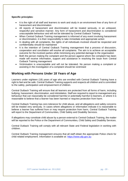#### **Specific principles:**

- It is the right of all staff and learners to work and study in an environment free of any form of harassment and discrimination
- All reports of harassment and discrimination will be treated seriously, in an unbiased, respectful and sensitive manner. Any form of harassment and discrimination is considered unacceptable behaviour and will not be tolerated by Central Outback Training
- When Central Outback Training management is informed of any event involving harassment or discrimination, it is their responsibility to take immediate and appropriate action
- In dealing with all complaints, the rights of all individuals involved should be respected and confidentiality should be maintained
- It is the intention of Central Outback Training management that a process of discussion, cooperation and conciliation will resolve all complaints. The aim is to achieve an acceptable outcome for the involved parties while minimising any potential damage to the organisation
- Both the person making the complaint and the person against whom the complaint has been made will receive information, support and assistance in resolving the issue from Central Outback Training management
- Victimisation is unacceptable and will not be tolerated. No person making a complaint or assisting in the investigation of a complaint should be victimised

## <span id="page-19-0"></span>**Working with Persons Under 18 Years of Age**

Learners under eighteen (18) years of age who are enrolled with Central Outback Training have a right to feel and be safe. Central Outback Training supports and respects all children and is committed to the safety, participation and empowerment of children.

Central Outback Training will ensure that all learners are protected from all forms of harm, including bullying, harassment, discrimination, and intimidation. Staff are required to report to management any behaviour that can reasonably be considered harmful or potentially harmful to learners, or where it is reasonable to believe that a learner has been harmed or requires protection from harm.

Central Outback Training has zero tolerance for child abuse, and all allegations and safety concerns will be treated very seriously. In cases where allegations or information indicate it is reasonable to believe a learner has suffered from or may require protection from harm, Central Outback Training will report to the Department of Communities, Child Safety and Disability Services.

If allegations may constitute child abuse by a person external to Central Outback Training, the matter will be reported to the Police or the Department of Communities, Child Safety and Disability Services.

Central Outback Training will comply with all relevant State and Federal legislation in working with children.

Central Outback Training management ensures that all staff obtain the appropriate Police check for child related employment. Information is available at: [https://www.afp.gov.au](https://www.afp.gov.au/)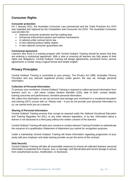## <span id="page-20-0"></span>**Consumer Rights**

#### **Consumer protection**

On 1 January 2011, the Australian Consumer Law commenced and the Trade Practices Act 1974 was repealed and replaced by the Competition and Consumer Act 2010. The Australian Consumer Law provides for:

- National consumer protection and fair-trading laws
- Enhanced enforcement powers and redress mechanisms
- A national unfair contract terms law
- A new national product safety regime
- A new national consumer guarantees law

#### **Contractual agreement**

Learners who enrol in a training program with Central Outback Training should be aware that they are entering a contractual agreement. With a view to ensuring all learners are fully aware of their rights and obligations, Central Outback Training will design agreements, enrolment forms, service agreements or similar using a logical format and simple english.

## <span id="page-20-1"></span>**Privacy Principles**

Central Outback Training is committed to your privacy. The Privacy Act 1988, Australian Privacy Principles and any relevant registered privacy codes govern the way we manage personal information.

#### **Collection of Personal Information**

To process your enrolment, Central Outback Training is required to collect personal information from learners such as – dull name; Unique Student Identifier (USI); date of birth; contact details; training outcomes and performance; sensitive personal information.

We collect this information so we can process and manage your enrolment in a vocational education and training (VET) course with us. Please note – if you do not provide your personal information to us, we cannot enrol you as a learner.

#### **Sharing of Personal Information**

Central Outback Training ensures that, except as required under the *National Vocational Education and Training Regulator Act 2011,* or any other relevant legislation, or by law, information about a learner is not disclosed to a third party without the written consent of the learners

Central Outback Training will seek your consent to contact relevant Training Providers to authenticate the issuance of a qualification /Statement of Attainment you submit for recognition purposes.

Under a traineeship Central Outback Training will share information regarding progression of your study with your employer and state training provider as per the terms of the contract.

#### **Data Security**

Central Outback Training will take all reasonable measures to ensure all collected learners' personal information is protected from misuse, loss, or damage, and that all data and record storage is secure from unauthorised access, modification, or disclosure.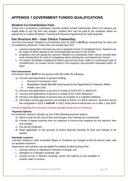# <span id="page-21-0"></span>**APPENDIX 1 GOVERNMENT FUNDED QUALIFICATIONS**

## <span id="page-21-1"></span>**Student Co-Contribution Fees**

These are a compulsory contribution towards publicly funded traineeships where the trainees are legally liable to pay the fees and charges. Student fees may be paid by the employer where an agreement is in place (Employer Training and Resource Agreement) for audit purposes.

## <span id="page-21-2"></span>**Fee Structure WA – User Choice Traineeship**

The Non-Concession "Student Co-Contribution Fee" for 2022 is *\$3.25* per nominal hour for each unit of competency delivered. Tuition fees are exempt from GST.

- Learners paying their own fees are sent a quarterly invoice of completed hours. Payment can be made via direct deposit to the nominated bank account on the invoice.
- Employers who are paying the learners "Student Co-contribution Fees" will be invoiced after each training block for units of competency where training has commenced per learner.
- If a learner terminates employment before payment has been made on commenced units of competencies, an invoice will be issued to the employer and payment requested within 14 days.

#### **Fee Concessions**

Concession rate is *\$0.97* for the persons who fall under the following:

- a) Persons and dependants of persons holding:
	- i. Pensioner Concession Card.
	- ii. Repatriation Health Benefits Card issued by the Department of Veterans' Affairs
	- iii. Health Care Card.
- b) Persons and dependants of persons in receipt of AUSTUDY or ABSTUDY.
- c) Persons and dependants of persons in receipt of the Youth Allowance.
- d) Persons and dependants of persons who are inmates of a custodial institution.
- e) Secondary school aged persons not enrolled at school. For these learners, maximum course fee chargeable in 2022 is \$*420.00*. In 2022, these persons will be born on or after *1 July 2004*.

#### *# Proof of eligibility for concession must be provided at the time of enrolment.*

#### **Payment Options**

On enrolment, learners will take up one of the following payment options:

- a) Agree to pay the full cost of fees and charges once training has commenced
- b) Present a signed authority from an employer to invoice that employer for the learner's fees and charges
- c) Pay fee by instalment
- d) Make application on the grounds of severe financial hardship for fees and charges to be waived

#### **Interstate Learners**

Learners residing in other Australian States or Territories are charged at fee-for-service rates, with no specified maximum.

Apprentices and trainees may be eligible for publicly funded training if the:

- training contract is registered in Western Australia; and
- workplace is in Western Australia; and
- training occurs in Western Australia, unless the training is only available in another state or territory